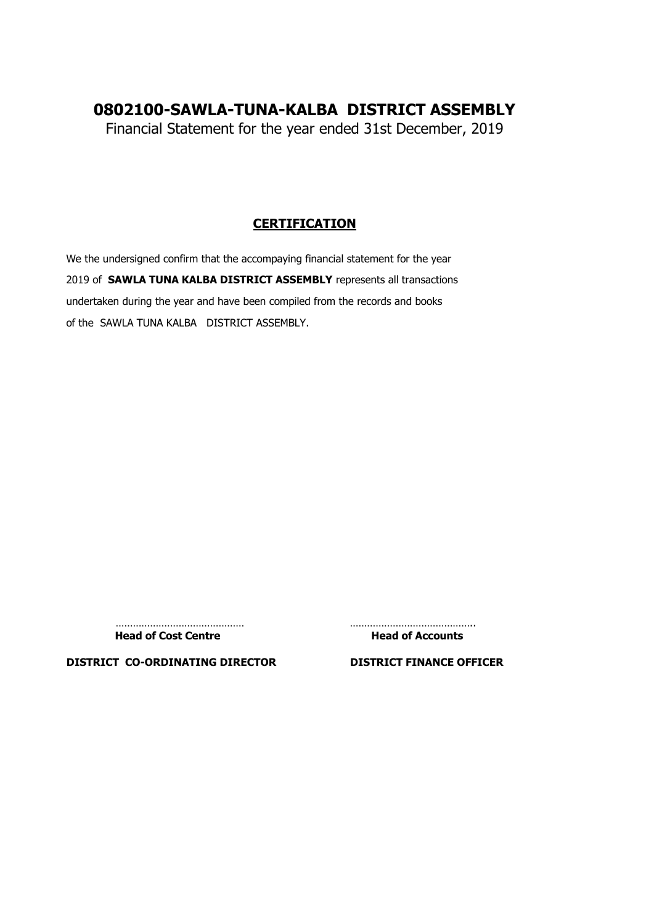# **0802100-SAWLA-TUNA-KALBA DISTRICT ASSEMBLY**

Financial Statement for the year ended 31st December, 2019

### **CERTIFICATION**

We the undersigned confirm that the accompaying financial statement for the year 2019 of **SAWLA TUNA KALBA DISTRICT ASSEMBLY** represents all transactions undertaken during the year and have been compiled from the records and books of the SAWLA TUNA KALBA DISTRICT ASSEMBLY.

Head of Cost Centre **Head of Accounts** 

……………………………………… ……………………………………..

**DISTRICT CO-ORDINATING DIRECTOR DISTRICT FINANCE OFFICER**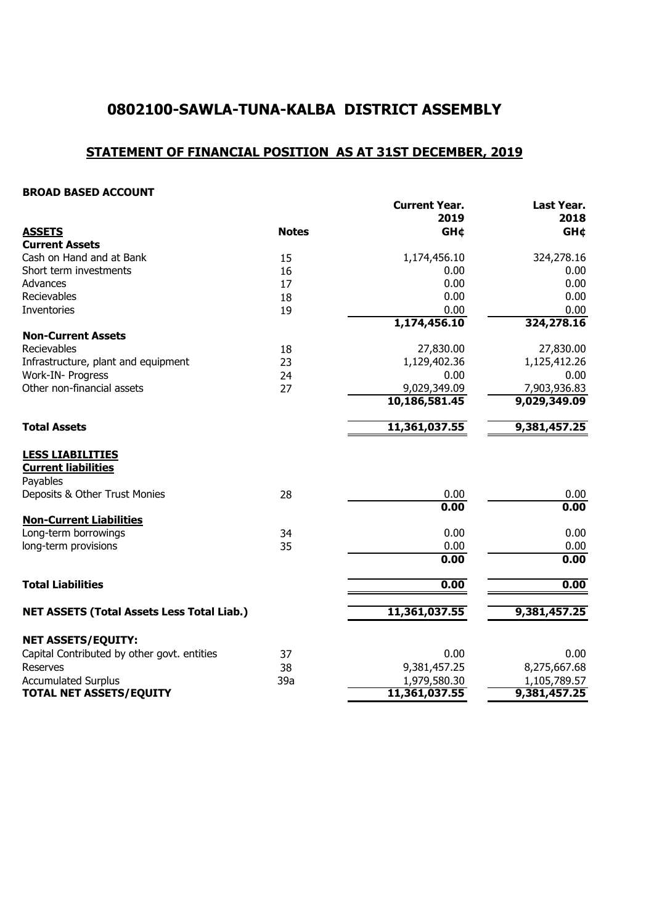# **0802100-SAWLA-TUNA-KALBA DISTRICT ASSEMBLY**

# **STATEMENT OF FINANCIAL POSITION AS AT 31ST DECEMBER, 2019**

#### **BROAD BASED ACCOUNT**

| <b>Notes</b><br><b>ASSETS</b><br><b>GH¢</b><br><b>Current Assets</b><br>Cash on Hand and at Bank<br>1,174,456.10<br>15<br>16<br>0.00<br>0.00<br>17<br>0.00<br>18<br>0.00<br>19<br>1,174,456.10<br>27,830.00<br>18<br>1,129,402.36<br>23<br>24<br>0.00<br>27<br>9,029,349.09<br>10,186,581.45<br>11,361,037.55 | <b>GH¢</b><br>324,278.16 |
|---------------------------------------------------------------------------------------------------------------------------------------------------------------------------------------------------------------------------------------------------------------------------------------------------------------|--------------------------|
|                                                                                                                                                                                                                                                                                                               |                          |
|                                                                                                                                                                                                                                                                                                               |                          |
| Short term investments<br>Advances<br>Recievables<br>Inventories<br><b>Non-Current Assets</b><br>Recievables<br>Infrastructure, plant and equipment<br>Work-IN- Progress<br>Other non-financial assets<br><b>Total Assets</b>                                                                                 |                          |
|                                                                                                                                                                                                                                                                                                               | 0.00                     |
|                                                                                                                                                                                                                                                                                                               | 0.00                     |
|                                                                                                                                                                                                                                                                                                               | 0.00                     |
|                                                                                                                                                                                                                                                                                                               | 0.00                     |
|                                                                                                                                                                                                                                                                                                               | 324,278.16               |
|                                                                                                                                                                                                                                                                                                               |                          |
|                                                                                                                                                                                                                                                                                                               | 27,830.00                |
|                                                                                                                                                                                                                                                                                                               | 1,125,412.26             |
|                                                                                                                                                                                                                                                                                                               | 0.00                     |
|                                                                                                                                                                                                                                                                                                               | 7,903,936.83             |
|                                                                                                                                                                                                                                                                                                               | 9,029,349.09             |
|                                                                                                                                                                                                                                                                                                               | 9,381,457.25             |
| <b>LESS LIABILITIES</b>                                                                                                                                                                                                                                                                                       |                          |
| <b>Current liabilities</b>                                                                                                                                                                                                                                                                                    |                          |
| Payables                                                                                                                                                                                                                                                                                                      |                          |
| Deposits & Other Trust Monies<br>28<br>0.00                                                                                                                                                                                                                                                                   | 0.00                     |
| 0.00                                                                                                                                                                                                                                                                                                          | 0.00                     |
| <b>Non-Current Liabilities</b>                                                                                                                                                                                                                                                                                |                          |
| Long-term borrowings<br>34<br>0.00                                                                                                                                                                                                                                                                            | 0.00                     |
| long-term provisions<br>35<br>0.00                                                                                                                                                                                                                                                                            | 0.00                     |
| 0.00                                                                                                                                                                                                                                                                                                          | 0.00                     |
| <b>Total Liabilities</b><br>0.00                                                                                                                                                                                                                                                                              | 0.00                     |
|                                                                                                                                                                                                                                                                                                               |                          |
| 11,361,037.55<br><b>NET ASSETS (Total Assets Less Total Liab.)</b>                                                                                                                                                                                                                                            | 9,381,457.25             |
| <b>NET ASSETS/EQUITY:</b>                                                                                                                                                                                                                                                                                     |                          |
| Capital Contributed by other govt. entities<br>37<br>0.00                                                                                                                                                                                                                                                     | 0.00                     |
| 9,381,457.25<br><b>Reserves</b><br>38                                                                                                                                                                                                                                                                         | 8,275,667.68             |
| <b>Accumulated Surplus</b><br>39a<br>1,979,580.30                                                                                                                                                                                                                                                             | 1,105,789.57             |
| 11,361,037.55<br><b>TOTAL NET ASSETS/EQUITY</b><br>9,381,457.25                                                                                                                                                                                                                                               |                          |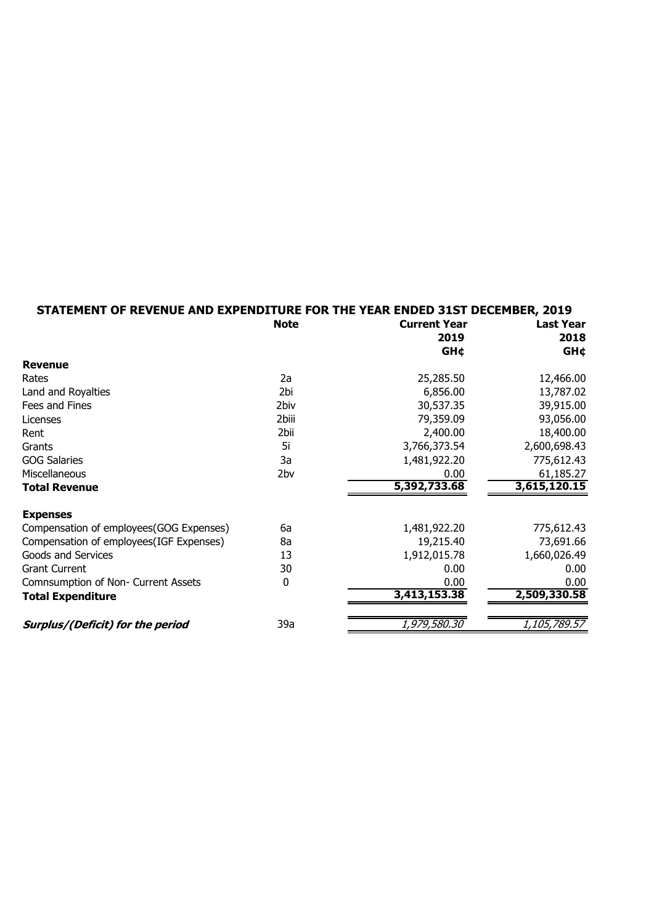| STATEMENT OF REVENUE AND EXPENDITURE FOR THE YEAR ENDED 31ST DECEMBER, 2019 |             |                     |                  |
|-----------------------------------------------------------------------------|-------------|---------------------|------------------|
|                                                                             | <b>Note</b> | <b>Current Year</b> | <b>Last Year</b> |
|                                                                             |             | 2019                | 2018             |
|                                                                             |             | <b>GH¢</b>          | <b>GH¢</b>       |
| <b>Revenue</b>                                                              |             |                     |                  |
| Rates                                                                       | 2a          | 25,285.50           | 12,466.00        |
| Land and Royalties                                                          | 2bi         | 6,856.00            | 13,787.02        |
| Fees and Fines                                                              | 2biv        | 30,537.35           | 39,915.00        |
| Licenses                                                                    | 2biii       | 79,359.09           | 93,056.00        |
| Rent                                                                        | 2bii        | 2,400.00            | 18,400.00        |
| Grants                                                                      | 5i          | 3,766,373.54        | 2,600,698.43     |
| <b>GOG Salaries</b>                                                         | 3a          | 1,481,922.20        | 775,612.43       |
| Miscellaneous                                                               | 2bv         | 0.00                | 61,185.27        |
| <b>Total Revenue</b>                                                        |             | 5,392,733.68        | 3,615,120.15     |
| <b>Expenses</b>                                                             |             |                     |                  |
| Compensation of employees(GOG Expenses)                                     | 6a          | 1,481,922.20        | 775,612.43       |
| Compensation of employees(IGF Expenses)                                     | 8a          | 19,215.40           | 73,691.66        |
| Goods and Services                                                          | 13          | 1,912,015.78        | 1,660,026.49     |
| <b>Grant Current</b>                                                        | 30          | 0.00                | 0.00             |
| Comnsumption of Non- Current Assets                                         | $\mathbf 0$ | 0.00                | 0.00             |
| <b>Total Expenditure</b>                                                    |             | 3,413,153.38        | 2,509,330.58     |
| Surplus/(Deficit) for the period                                            | 39a         | 1,979,580.30        | 1,105,789.57     |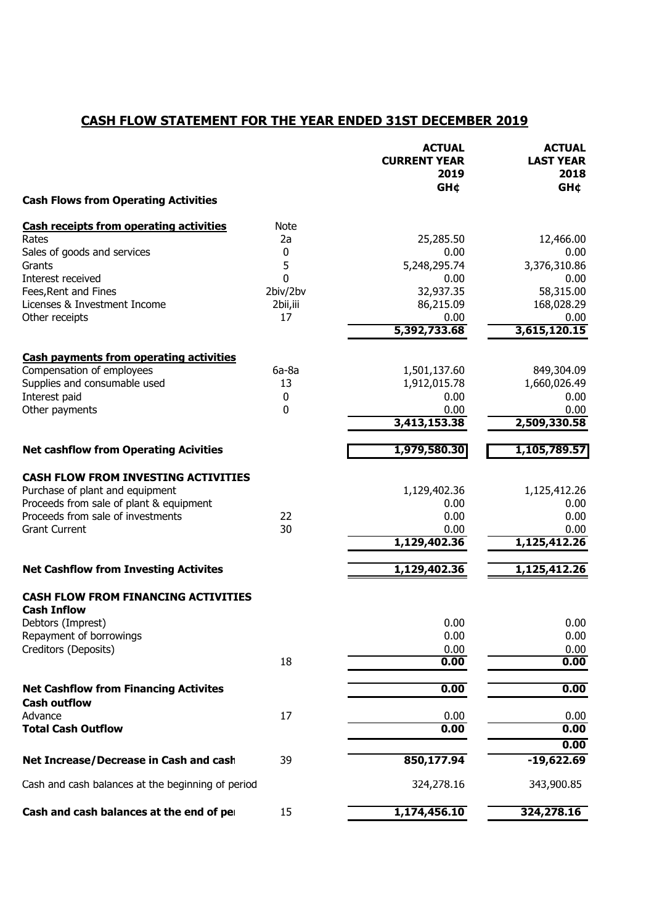## **CASH FLOW STATEMENT FOR THE YEAR ENDED 31ST DECEMBER 2019**

|                                                   |             | <b>ACTUAL</b><br><b>CURRENT YEAR</b><br>2019<br><b>GH¢</b> | <b>ACTUAL</b><br><b>LAST YEAR</b><br>2018<br><b>GH¢</b> |
|---------------------------------------------------|-------------|------------------------------------------------------------|---------------------------------------------------------|
| <b>Cash Flows from Operating Activities</b>       |             |                                                            |                                                         |
| <b>Cash receipts from operating activities</b>    | <b>Note</b> |                                                            |                                                         |
| Rates                                             | 2a          | 25,285.50                                                  | 12,466.00                                               |
| Sales of goods and services                       | 0           | 0.00                                                       | 0.00                                                    |
| Grants                                            | 5           | 5,248,295.74                                               | 3,376,310.86                                            |
| Interest received                                 | 0           | 0.00                                                       | 0.00                                                    |
| Fees, Rent and Fines                              | 2biv/2bv    | 32,937.35                                                  | 58,315.00                                               |
| Licenses & Investment Income                      | 2bii,iii    | 86,215.09                                                  | 168,028.29                                              |
| Other receipts                                    | 17          | 0.00<br>5,392,733.68                                       | 0.00<br>3,615,120.15                                    |
| <b>Cash payments from operating activities</b>    |             |                                                            |                                                         |
| Compensation of employees                         | $6a-8a$     | 1,501,137.60                                               | 849,304.09                                              |
| Supplies and consumable used                      | 13          | 1,912,015.78                                               | 1,660,026.49                                            |
| Interest paid                                     | 0           | 0.00                                                       | 0.00                                                    |
| Other payments                                    | 0           | 0.00                                                       | 0.00                                                    |
|                                                   |             | 3,413,153.38                                               | 2,509,330.58                                            |
| <b>Net cashflow from Operating Acivities</b>      |             | 1,979,580.30                                               | 1,105,789.57                                            |
| <b>CASH FLOW FROM INVESTING ACTIVITIES</b>        |             |                                                            |                                                         |
| Purchase of plant and equipment                   |             | 1,129,402.36                                               | 1,125,412.26                                            |
| Proceeds from sale of plant & equipment           |             | 0.00                                                       | 0.00                                                    |
| Proceeds from sale of investments                 | 22          | 0.00                                                       | 0.00                                                    |
| <b>Grant Current</b>                              | 30          | 0.00                                                       | 0.00                                                    |
|                                                   |             | 1,129,402.36                                               | 1,125,412.26                                            |
| <b>Net Cashflow from Investing Activites</b>      |             | 1,129,402.36                                               | 1,125,412.26                                            |
| <b>CASH FLOW FROM FINANCING ACTIVITIES</b>        |             |                                                            |                                                         |
| <b>Cash Inflow</b>                                |             | 0.00                                                       | 0.00                                                    |
| Debtors (Imprest)<br>Repayment of borrowings      |             | 0.00                                                       | 0.00                                                    |
| Creditors (Deposits)                              |             | 0.00                                                       | 0.00                                                    |
|                                                   | 18          | 0.00                                                       | 0.00                                                    |
| <b>Net Cashflow from Financing Activites</b>      |             | 0.00                                                       | 0.00                                                    |
| <b>Cash outflow</b>                               |             |                                                            |                                                         |
| Advance                                           | 17          | 0.00                                                       | 0.00                                                    |
| <b>Total Cash Outflow</b>                         |             | 0.00                                                       | 0.00                                                    |
|                                                   |             |                                                            | 0.00                                                    |
| Net Increase/Decrease in Cash and cash            | 39          | 850,177.94                                                 | $-19,622.69$                                            |
| Cash and cash balances at the beginning of period |             | 324,278.16                                                 | 343,900.85                                              |
| Cash and cash balances at the end of per          | 15          | 1,174,456.10                                               | 324,278.16                                              |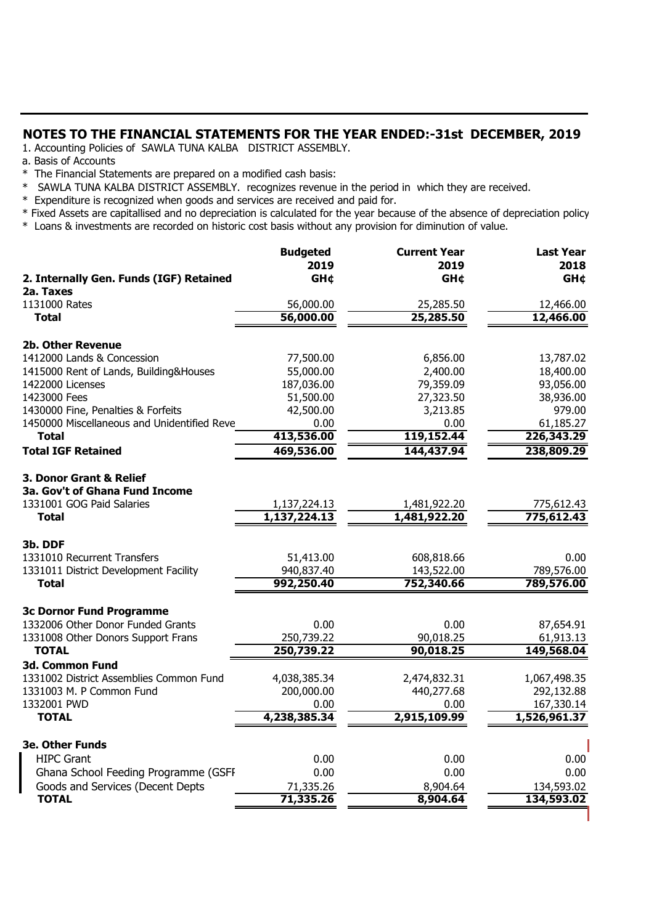### **NOTES TO THE FINANCIAL STATEMENTS FOR THE YEAR ENDED:-31st DECEMBER, 2019**

1. Accounting Policies of SAWLA TUNA KALBA DISTRICT ASSEMBLY.

- a. Basis of Accounts
- \* The Financial Statements are prepared on a modified cash basis:
- \* SAWLA TUNA KALBA DISTRICT ASSEMBLY. recognizes revenue in the period in which they are received.
- \* Expenditure is recognized when goods and services are received and paid for.
- \* Fixed Assets are capitallised and no depreciation is calculated for the year because of the absence of depreciation policy.
- \* Loans & investments are recorded on historic cost basis without any provision for diminution of value.

| 2. Internally Gen. Funds (IGF) Retained<br><b>GH¢</b><br><b>GH¢</b><br>2a. Taxes<br>1131000 Rates<br>56,000.00<br>25,285.50<br>12,466.00<br>56,000.00<br>12,466.00<br>25,285.50<br><b>Total</b><br>2b. Other Revenue<br>1412000 Lands & Concession<br>77,500.00<br>6,856.00<br>13,787.02<br>1415000 Rent of Lands, Building&Houses<br>55,000.00<br>2,400.00<br>18,400.00<br>1422000 Licenses<br>187,036.00<br>79,359.09<br>93,056.00<br>1423000 Fees<br>38,936.00<br>51,500.00<br>27,323.50<br>1430000 Fine, Penalties & Forfeits<br>979.00<br>42,500.00<br>3,213.85<br>1450000 Miscellaneous and Unidentified Reve<br>61,185.27<br>0.00<br>0.00<br><b>Total</b><br>413,536.00<br>119,152.44<br>226,343.29<br>469,536.00<br>144,437.94<br>238,809.29 | <b>Last Year</b><br>2018 |
|------------------------------------------------------------------------------------------------------------------------------------------------------------------------------------------------------------------------------------------------------------------------------------------------------------------------------------------------------------------------------------------------------------------------------------------------------------------------------------------------------------------------------------------------------------------------------------------------------------------------------------------------------------------------------------------------------------------------------------------------------|--------------------------|
|                                                                                                                                                                                                                                                                                                                                                                                                                                                                                                                                                                                                                                                                                                                                                      | <b>GH¢</b>               |
|                                                                                                                                                                                                                                                                                                                                                                                                                                                                                                                                                                                                                                                                                                                                                      |                          |
|                                                                                                                                                                                                                                                                                                                                                                                                                                                                                                                                                                                                                                                                                                                                                      |                          |
|                                                                                                                                                                                                                                                                                                                                                                                                                                                                                                                                                                                                                                                                                                                                                      |                          |
|                                                                                                                                                                                                                                                                                                                                                                                                                                                                                                                                                                                                                                                                                                                                                      |                          |
|                                                                                                                                                                                                                                                                                                                                                                                                                                                                                                                                                                                                                                                                                                                                                      |                          |
|                                                                                                                                                                                                                                                                                                                                                                                                                                                                                                                                                                                                                                                                                                                                                      |                          |
|                                                                                                                                                                                                                                                                                                                                                                                                                                                                                                                                                                                                                                                                                                                                                      |                          |
|                                                                                                                                                                                                                                                                                                                                                                                                                                                                                                                                                                                                                                                                                                                                                      |                          |
|                                                                                                                                                                                                                                                                                                                                                                                                                                                                                                                                                                                                                                                                                                                                                      |                          |
|                                                                                                                                                                                                                                                                                                                                                                                                                                                                                                                                                                                                                                                                                                                                                      |                          |
| <b>Total IGF Retained</b>                                                                                                                                                                                                                                                                                                                                                                                                                                                                                                                                                                                                                                                                                                                            |                          |
|                                                                                                                                                                                                                                                                                                                                                                                                                                                                                                                                                                                                                                                                                                                                                      |                          |
| 3. Donor Grant & Relief                                                                                                                                                                                                                                                                                                                                                                                                                                                                                                                                                                                                                                                                                                                              |                          |
| <b>3a. Gov't of Ghana Fund Income</b>                                                                                                                                                                                                                                                                                                                                                                                                                                                                                                                                                                                                                                                                                                                |                          |
| 1331001 GOG Paid Salaries<br>1,137,224.13<br>1,481,922.20<br>775,612.43                                                                                                                                                                                                                                                                                                                                                                                                                                                                                                                                                                                                                                                                              |                          |
| 1,137,224.13<br>1,481,922.20<br>775,612.43<br><b>Total</b>                                                                                                                                                                                                                                                                                                                                                                                                                                                                                                                                                                                                                                                                                           |                          |
| 3b. DDF                                                                                                                                                                                                                                                                                                                                                                                                                                                                                                                                                                                                                                                                                                                                              |                          |
| 1331010 Recurrent Transfers<br>51,413.00<br>608,818.66                                                                                                                                                                                                                                                                                                                                                                                                                                                                                                                                                                                                                                                                                               | 0.00                     |
| 940,837.40<br>143,522.00<br>789,576.00<br>1331011 District Development Facility                                                                                                                                                                                                                                                                                                                                                                                                                                                                                                                                                                                                                                                                      |                          |
| 992,250.40<br>752,340.66<br>789,576.00<br><b>Total</b>                                                                                                                                                                                                                                                                                                                                                                                                                                                                                                                                                                                                                                                                                               |                          |
|                                                                                                                                                                                                                                                                                                                                                                                                                                                                                                                                                                                                                                                                                                                                                      |                          |
| <b>3c Dornor Fund Programme</b>                                                                                                                                                                                                                                                                                                                                                                                                                                                                                                                                                                                                                                                                                                                      |                          |
| 1332006 Other Donor Funded Grants<br>0.00<br>0.00<br>87,654.91                                                                                                                                                                                                                                                                                                                                                                                                                                                                                                                                                                                                                                                                                       |                          |
| 1331008 Other Donors Support Frans<br>250,739.22<br>90,018.25<br>61,913.13<br><b>TOTAL</b><br>250,739.22<br>90,018.25<br>149,568.04                                                                                                                                                                                                                                                                                                                                                                                                                                                                                                                                                                                                                  |                          |
| <b>3d. Common Fund</b>                                                                                                                                                                                                                                                                                                                                                                                                                                                                                                                                                                                                                                                                                                                               |                          |
| 1331002 District Assemblies Common Fund<br>4,038,385.34<br>2,474,832.31<br>1,067,498.35                                                                                                                                                                                                                                                                                                                                                                                                                                                                                                                                                                                                                                                              |                          |
| 200,000.00<br>440,277.68<br>292,132.88<br>1331003 M. P Common Fund                                                                                                                                                                                                                                                                                                                                                                                                                                                                                                                                                                                                                                                                                   |                          |
| 1332001 PWD<br>0.00<br>0.00<br>167,330.14                                                                                                                                                                                                                                                                                                                                                                                                                                                                                                                                                                                                                                                                                                            |                          |
| 4,238,385.34<br>2,915,109.99<br>1,526,961.37<br><b>TOTAL</b>                                                                                                                                                                                                                                                                                                                                                                                                                                                                                                                                                                                                                                                                                         |                          |
|                                                                                                                                                                                                                                                                                                                                                                                                                                                                                                                                                                                                                                                                                                                                                      |                          |
| <b>3e. Other Funds</b>                                                                                                                                                                                                                                                                                                                                                                                                                                                                                                                                                                                                                                                                                                                               |                          |
| <b>HIPC Grant</b><br>0.00<br>0.00                                                                                                                                                                                                                                                                                                                                                                                                                                                                                                                                                                                                                                                                                                                    | 0.00                     |
| Ghana School Feeding Programme (GSFI<br>0.00<br>0.00                                                                                                                                                                                                                                                                                                                                                                                                                                                                                                                                                                                                                                                                                                 | 0.00                     |
| Goods and Services (Decent Depts<br>134,593.02<br>71,335.26<br>8,904.64<br><b>TOTAL</b><br>71,335.26                                                                                                                                                                                                                                                                                                                                                                                                                                                                                                                                                                                                                                                 |                          |
| 134,593.02<br>8,904.64                                                                                                                                                                                                                                                                                                                                                                                                                                                                                                                                                                                                                                                                                                                               |                          |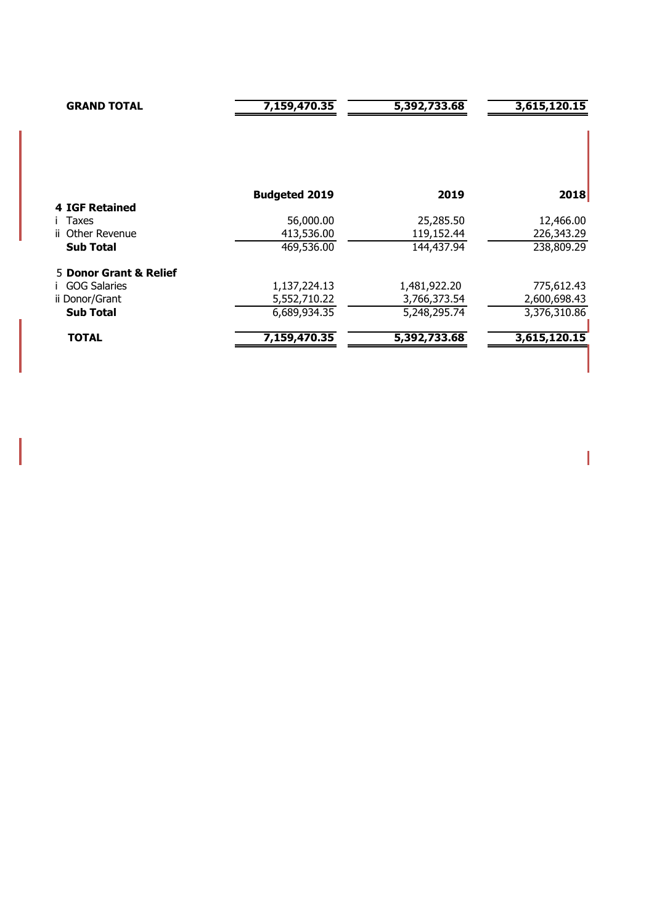| <b>GRAND TOTAL</b>             | 7,159,470.35            | 5,392,733.68            | 3,615,120.15            |
|--------------------------------|-------------------------|-------------------------|-------------------------|
|                                | <b>Budgeted 2019</b>    | 2019                    | 2018                    |
| <b>4 IGF Retained</b><br>Taxes |                         |                         |                         |
| ii Other Revenue               | 56,000.00<br>413,536.00 | 25,285.50<br>119,152.44 | 12,466.00<br>226,343.29 |
| <b>Sub Total</b>               | 469,536.00              | 144,437.94              | 238,809.29              |
| 5 Donor Grant & Relief         |                         |                         |                         |
| <b>GOG Salaries</b>            | 1,137,224.13            | 1,481,922.20            | 775,612.43              |
| ii Donor/Grant                 | 5,552,710.22            | 3,766,373.54            | 2,600,698.43            |
| <b>Sub Total</b>               | 6,689,934.35            | 5,248,295.74            | 3,376,310.86            |
| <b>TOTAL</b>                   | 7,159,470.35            | 5,392,733.68            | 3,615,120.15            |

 $\overline{\mathbf{I}}$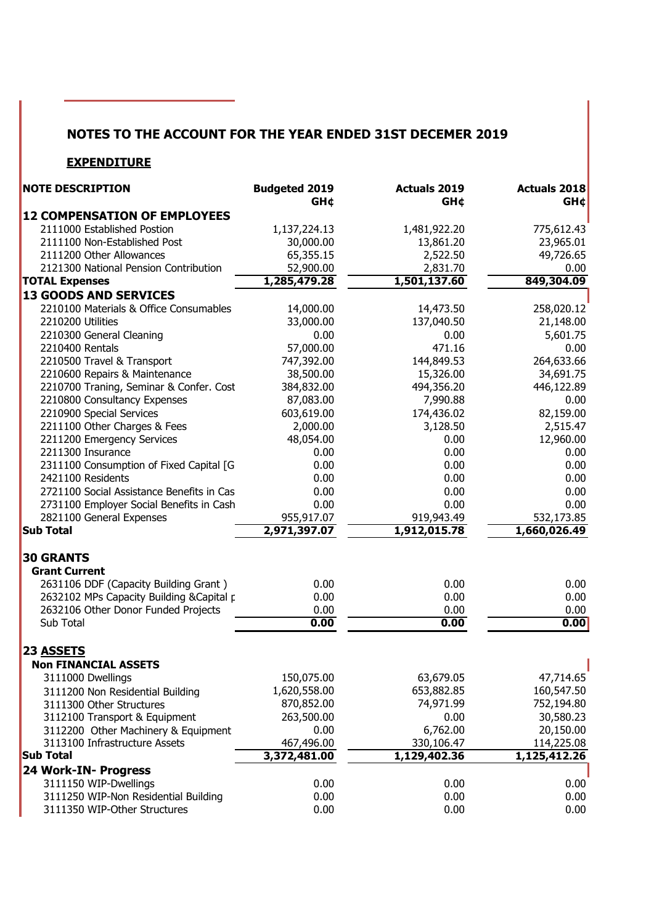## **NOTES TO THE ACCOUNT FOR THE YEAR ENDED 31ST DECEMER 2019**

### **EXPENDITURE**

| <b>GH¢</b><br><b>GH¢</b><br>GHC<br><b>12 COMPENSATION OF EMPLOYEES</b><br>2111000 Established Postion<br>1,481,922.20<br>775,612.43<br>1,137,224.13<br>2111100 Non-Established Post<br>30,000.00<br>13,861.20<br>23,965.01<br>2111200 Other Allowances<br>65,355.15<br>2,522.50<br>49,726.65<br>2121300 National Pension Contribution<br>52,900.00<br>2,831.70<br>0.00<br>849,304.09<br>1,285,479.28<br>1,501,137.60<br><b>TOTAL Expenses</b><br><b>13 GOODS AND SERVICES</b><br>2210100 Materials & Office Consumables<br>14,000.00<br>14,473.50<br>258,020.12<br>2210200 Utilities<br>33,000.00<br>137,040.50<br>21,148.00<br>2210300 General Cleaning<br>0.00<br>0.00<br>5,601.75<br>2210400 Rentals<br>57,000.00<br>471.16<br>0.00<br>264,633.66<br>2210500 Travel & Transport<br>747,392.00<br>144,849.53<br>2210600 Repairs & Maintenance<br>38,500.00<br>15,326.00<br>34,691.75<br>2210700 Traning, Seminar & Confer. Cost<br>384,832.00<br>494,356.20<br>446,122.89<br>2210800 Consultancy Expenses<br>87,083.00<br>7,990.88<br>0.00<br>2210900 Special Services<br>82,159.00<br>603,619.00<br>174,436.02<br>2211100 Other Charges & Fees<br>2,000.00<br>3,128.50<br>2,515.47<br>2211200 Emergency Services<br>48,054.00<br>0.00<br>12,960.00<br>2211300 Insurance<br>0.00<br>0.00<br>0.00<br>2311100 Consumption of Fixed Capital [G<br>0.00<br>0.00<br>0.00<br>2421100 Residents<br>0.00<br>0.00<br>0.00<br>2721100 Social Assistance Benefits in Cas<br>0.00<br>0.00<br>0.00<br>0.00<br>2731100 Employer Social Benefits in Cash<br>0.00<br>0.00<br>2821100 General Expenses<br>955,917.07<br>919,943.49<br>532,173.85<br><b>Sub Total</b><br>2,971,397.07<br>1,912,015.78<br>1,660,026.49<br><b>30 GRANTS</b><br><b>Grant Current</b><br>2631106 DDF (Capacity Building Grant)<br>0.00<br>0.00<br>0.00<br>2632102 MPs Capacity Building & Capital p<br>0.00<br>0.00<br>0.00<br>2632106 Other Donor Funded Projects<br>0.00<br>0.00<br>0.00<br>0.00<br>0.00<br>Sub Total<br>0.00<br>23 ASSETS<br><b>Non FINANCIAL ASSETS</b><br>3111000 Dwellings<br>150,075.00<br>63,679.05<br>47,714.65<br>1,620,558.00<br>653,882.85<br>160,547.50<br>3111200 Non Residential Building<br>870,852.00<br>74,971.99<br>752,194.80<br>3111300 Other Structures<br>30,580.23<br>263,500.00<br>0.00<br>3112100 Transport & Equipment<br>20,150.00<br>6,762.00<br>0.00<br>3112200 Other Machinery & Equipment<br>3113100 Infrastructure Assets<br>467,496.00<br>330,106.47<br>114,225.08<br><b>Sub Total</b><br>3,372,481.00<br>1,129,402.36<br>$\overline{1,125,412.26}$<br>24 Work-IN- Progress<br>3111150 WIP-Dwellings<br>0.00<br>0.00<br>0.00<br>3111250 WIP-Non Residential Building<br>0.00<br>0.00<br>0.00<br>3111350 WIP-Other Structures<br>0.00<br>0.00<br>0.00 | <b>NOTE DESCRIPTION</b> | <b>Budgeted 2019</b> | <b>Actuals 2019</b> | Actuals 2018 |
|--------------------------------------------------------------------------------------------------------------------------------------------------------------------------------------------------------------------------------------------------------------------------------------------------------------------------------------------------------------------------------------------------------------------------------------------------------------------------------------------------------------------------------------------------------------------------------------------------------------------------------------------------------------------------------------------------------------------------------------------------------------------------------------------------------------------------------------------------------------------------------------------------------------------------------------------------------------------------------------------------------------------------------------------------------------------------------------------------------------------------------------------------------------------------------------------------------------------------------------------------------------------------------------------------------------------------------------------------------------------------------------------------------------------------------------------------------------------------------------------------------------------------------------------------------------------------------------------------------------------------------------------------------------------------------------------------------------------------------------------------------------------------------------------------------------------------------------------------------------------------------------------------------------------------------------------------------------------------------------------------------------------------------------------------------------------------------------------------------------------------------------------------------------------------------------------------------------------------------------------------------------------------------------------------------------------------------------------------------------------------------------------------------------------------------------------------------------------------------------------------------------------------------------------------------------------------------------------------------------------------------------------------------------------------------------------------------------------------------------------------------------------|-------------------------|----------------------|---------------------|--------------|
|                                                                                                                                                                                                                                                                                                                                                                                                                                                                                                                                                                                                                                                                                                                                                                                                                                                                                                                                                                                                                                                                                                                                                                                                                                                                                                                                                                                                                                                                                                                                                                                                                                                                                                                                                                                                                                                                                                                                                                                                                                                                                                                                                                                                                                                                                                                                                                                                                                                                                                                                                                                                                                                                                                                                                                    |                         |                      |                     |              |
|                                                                                                                                                                                                                                                                                                                                                                                                                                                                                                                                                                                                                                                                                                                                                                                                                                                                                                                                                                                                                                                                                                                                                                                                                                                                                                                                                                                                                                                                                                                                                                                                                                                                                                                                                                                                                                                                                                                                                                                                                                                                                                                                                                                                                                                                                                                                                                                                                                                                                                                                                                                                                                                                                                                                                                    |                         |                      |                     |              |
|                                                                                                                                                                                                                                                                                                                                                                                                                                                                                                                                                                                                                                                                                                                                                                                                                                                                                                                                                                                                                                                                                                                                                                                                                                                                                                                                                                                                                                                                                                                                                                                                                                                                                                                                                                                                                                                                                                                                                                                                                                                                                                                                                                                                                                                                                                                                                                                                                                                                                                                                                                                                                                                                                                                                                                    |                         |                      |                     |              |
|                                                                                                                                                                                                                                                                                                                                                                                                                                                                                                                                                                                                                                                                                                                                                                                                                                                                                                                                                                                                                                                                                                                                                                                                                                                                                                                                                                                                                                                                                                                                                                                                                                                                                                                                                                                                                                                                                                                                                                                                                                                                                                                                                                                                                                                                                                                                                                                                                                                                                                                                                                                                                                                                                                                                                                    |                         |                      |                     |              |
|                                                                                                                                                                                                                                                                                                                                                                                                                                                                                                                                                                                                                                                                                                                                                                                                                                                                                                                                                                                                                                                                                                                                                                                                                                                                                                                                                                                                                                                                                                                                                                                                                                                                                                                                                                                                                                                                                                                                                                                                                                                                                                                                                                                                                                                                                                                                                                                                                                                                                                                                                                                                                                                                                                                                                                    |                         |                      |                     |              |
|                                                                                                                                                                                                                                                                                                                                                                                                                                                                                                                                                                                                                                                                                                                                                                                                                                                                                                                                                                                                                                                                                                                                                                                                                                                                                                                                                                                                                                                                                                                                                                                                                                                                                                                                                                                                                                                                                                                                                                                                                                                                                                                                                                                                                                                                                                                                                                                                                                                                                                                                                                                                                                                                                                                                                                    |                         |                      |                     |              |
|                                                                                                                                                                                                                                                                                                                                                                                                                                                                                                                                                                                                                                                                                                                                                                                                                                                                                                                                                                                                                                                                                                                                                                                                                                                                                                                                                                                                                                                                                                                                                                                                                                                                                                                                                                                                                                                                                                                                                                                                                                                                                                                                                                                                                                                                                                                                                                                                                                                                                                                                                                                                                                                                                                                                                                    |                         |                      |                     |              |
|                                                                                                                                                                                                                                                                                                                                                                                                                                                                                                                                                                                                                                                                                                                                                                                                                                                                                                                                                                                                                                                                                                                                                                                                                                                                                                                                                                                                                                                                                                                                                                                                                                                                                                                                                                                                                                                                                                                                                                                                                                                                                                                                                                                                                                                                                                                                                                                                                                                                                                                                                                                                                                                                                                                                                                    |                         |                      |                     |              |
|                                                                                                                                                                                                                                                                                                                                                                                                                                                                                                                                                                                                                                                                                                                                                                                                                                                                                                                                                                                                                                                                                                                                                                                                                                                                                                                                                                                                                                                                                                                                                                                                                                                                                                                                                                                                                                                                                                                                                                                                                                                                                                                                                                                                                                                                                                                                                                                                                                                                                                                                                                                                                                                                                                                                                                    |                         |                      |                     |              |
|                                                                                                                                                                                                                                                                                                                                                                                                                                                                                                                                                                                                                                                                                                                                                                                                                                                                                                                                                                                                                                                                                                                                                                                                                                                                                                                                                                                                                                                                                                                                                                                                                                                                                                                                                                                                                                                                                                                                                                                                                                                                                                                                                                                                                                                                                                                                                                                                                                                                                                                                                                                                                                                                                                                                                                    |                         |                      |                     |              |
|                                                                                                                                                                                                                                                                                                                                                                                                                                                                                                                                                                                                                                                                                                                                                                                                                                                                                                                                                                                                                                                                                                                                                                                                                                                                                                                                                                                                                                                                                                                                                                                                                                                                                                                                                                                                                                                                                                                                                                                                                                                                                                                                                                                                                                                                                                                                                                                                                                                                                                                                                                                                                                                                                                                                                                    |                         |                      |                     |              |
|                                                                                                                                                                                                                                                                                                                                                                                                                                                                                                                                                                                                                                                                                                                                                                                                                                                                                                                                                                                                                                                                                                                                                                                                                                                                                                                                                                                                                                                                                                                                                                                                                                                                                                                                                                                                                                                                                                                                                                                                                                                                                                                                                                                                                                                                                                                                                                                                                                                                                                                                                                                                                                                                                                                                                                    |                         |                      |                     |              |
|                                                                                                                                                                                                                                                                                                                                                                                                                                                                                                                                                                                                                                                                                                                                                                                                                                                                                                                                                                                                                                                                                                                                                                                                                                                                                                                                                                                                                                                                                                                                                                                                                                                                                                                                                                                                                                                                                                                                                                                                                                                                                                                                                                                                                                                                                                                                                                                                                                                                                                                                                                                                                                                                                                                                                                    |                         |                      |                     |              |
|                                                                                                                                                                                                                                                                                                                                                                                                                                                                                                                                                                                                                                                                                                                                                                                                                                                                                                                                                                                                                                                                                                                                                                                                                                                                                                                                                                                                                                                                                                                                                                                                                                                                                                                                                                                                                                                                                                                                                                                                                                                                                                                                                                                                                                                                                                                                                                                                                                                                                                                                                                                                                                                                                                                                                                    |                         |                      |                     |              |
|                                                                                                                                                                                                                                                                                                                                                                                                                                                                                                                                                                                                                                                                                                                                                                                                                                                                                                                                                                                                                                                                                                                                                                                                                                                                                                                                                                                                                                                                                                                                                                                                                                                                                                                                                                                                                                                                                                                                                                                                                                                                                                                                                                                                                                                                                                                                                                                                                                                                                                                                                                                                                                                                                                                                                                    |                         |                      |                     |              |
|                                                                                                                                                                                                                                                                                                                                                                                                                                                                                                                                                                                                                                                                                                                                                                                                                                                                                                                                                                                                                                                                                                                                                                                                                                                                                                                                                                                                                                                                                                                                                                                                                                                                                                                                                                                                                                                                                                                                                                                                                                                                                                                                                                                                                                                                                                                                                                                                                                                                                                                                                                                                                                                                                                                                                                    |                         |                      |                     |              |
|                                                                                                                                                                                                                                                                                                                                                                                                                                                                                                                                                                                                                                                                                                                                                                                                                                                                                                                                                                                                                                                                                                                                                                                                                                                                                                                                                                                                                                                                                                                                                                                                                                                                                                                                                                                                                                                                                                                                                                                                                                                                                                                                                                                                                                                                                                                                                                                                                                                                                                                                                                                                                                                                                                                                                                    |                         |                      |                     |              |
|                                                                                                                                                                                                                                                                                                                                                                                                                                                                                                                                                                                                                                                                                                                                                                                                                                                                                                                                                                                                                                                                                                                                                                                                                                                                                                                                                                                                                                                                                                                                                                                                                                                                                                                                                                                                                                                                                                                                                                                                                                                                                                                                                                                                                                                                                                                                                                                                                                                                                                                                                                                                                                                                                                                                                                    |                         |                      |                     |              |
|                                                                                                                                                                                                                                                                                                                                                                                                                                                                                                                                                                                                                                                                                                                                                                                                                                                                                                                                                                                                                                                                                                                                                                                                                                                                                                                                                                                                                                                                                                                                                                                                                                                                                                                                                                                                                                                                                                                                                                                                                                                                                                                                                                                                                                                                                                                                                                                                                                                                                                                                                                                                                                                                                                                                                                    |                         |                      |                     |              |
|                                                                                                                                                                                                                                                                                                                                                                                                                                                                                                                                                                                                                                                                                                                                                                                                                                                                                                                                                                                                                                                                                                                                                                                                                                                                                                                                                                                                                                                                                                                                                                                                                                                                                                                                                                                                                                                                                                                                                                                                                                                                                                                                                                                                                                                                                                                                                                                                                                                                                                                                                                                                                                                                                                                                                                    |                         |                      |                     |              |
|                                                                                                                                                                                                                                                                                                                                                                                                                                                                                                                                                                                                                                                                                                                                                                                                                                                                                                                                                                                                                                                                                                                                                                                                                                                                                                                                                                                                                                                                                                                                                                                                                                                                                                                                                                                                                                                                                                                                                                                                                                                                                                                                                                                                                                                                                                                                                                                                                                                                                                                                                                                                                                                                                                                                                                    |                         |                      |                     |              |
|                                                                                                                                                                                                                                                                                                                                                                                                                                                                                                                                                                                                                                                                                                                                                                                                                                                                                                                                                                                                                                                                                                                                                                                                                                                                                                                                                                                                                                                                                                                                                                                                                                                                                                                                                                                                                                                                                                                                                                                                                                                                                                                                                                                                                                                                                                                                                                                                                                                                                                                                                                                                                                                                                                                                                                    |                         |                      |                     |              |
|                                                                                                                                                                                                                                                                                                                                                                                                                                                                                                                                                                                                                                                                                                                                                                                                                                                                                                                                                                                                                                                                                                                                                                                                                                                                                                                                                                                                                                                                                                                                                                                                                                                                                                                                                                                                                                                                                                                                                                                                                                                                                                                                                                                                                                                                                                                                                                                                                                                                                                                                                                                                                                                                                                                                                                    |                         |                      |                     |              |
|                                                                                                                                                                                                                                                                                                                                                                                                                                                                                                                                                                                                                                                                                                                                                                                                                                                                                                                                                                                                                                                                                                                                                                                                                                                                                                                                                                                                                                                                                                                                                                                                                                                                                                                                                                                                                                                                                                                                                                                                                                                                                                                                                                                                                                                                                                                                                                                                                                                                                                                                                                                                                                                                                                                                                                    |                         |                      |                     |              |
|                                                                                                                                                                                                                                                                                                                                                                                                                                                                                                                                                                                                                                                                                                                                                                                                                                                                                                                                                                                                                                                                                                                                                                                                                                                                                                                                                                                                                                                                                                                                                                                                                                                                                                                                                                                                                                                                                                                                                                                                                                                                                                                                                                                                                                                                                                                                                                                                                                                                                                                                                                                                                                                                                                                                                                    |                         |                      |                     |              |
|                                                                                                                                                                                                                                                                                                                                                                                                                                                                                                                                                                                                                                                                                                                                                                                                                                                                                                                                                                                                                                                                                                                                                                                                                                                                                                                                                                                                                                                                                                                                                                                                                                                                                                                                                                                                                                                                                                                                                                                                                                                                                                                                                                                                                                                                                                                                                                                                                                                                                                                                                                                                                                                                                                                                                                    |                         |                      |                     |              |
|                                                                                                                                                                                                                                                                                                                                                                                                                                                                                                                                                                                                                                                                                                                                                                                                                                                                                                                                                                                                                                                                                                                                                                                                                                                                                                                                                                                                                                                                                                                                                                                                                                                                                                                                                                                                                                                                                                                                                                                                                                                                                                                                                                                                                                                                                                                                                                                                                                                                                                                                                                                                                                                                                                                                                                    |                         |                      |                     |              |
|                                                                                                                                                                                                                                                                                                                                                                                                                                                                                                                                                                                                                                                                                                                                                                                                                                                                                                                                                                                                                                                                                                                                                                                                                                                                                                                                                                                                                                                                                                                                                                                                                                                                                                                                                                                                                                                                                                                                                                                                                                                                                                                                                                                                                                                                                                                                                                                                                                                                                                                                                                                                                                                                                                                                                                    |                         |                      |                     |              |
|                                                                                                                                                                                                                                                                                                                                                                                                                                                                                                                                                                                                                                                                                                                                                                                                                                                                                                                                                                                                                                                                                                                                                                                                                                                                                                                                                                                                                                                                                                                                                                                                                                                                                                                                                                                                                                                                                                                                                                                                                                                                                                                                                                                                                                                                                                                                                                                                                                                                                                                                                                                                                                                                                                                                                                    |                         |                      |                     |              |
|                                                                                                                                                                                                                                                                                                                                                                                                                                                                                                                                                                                                                                                                                                                                                                                                                                                                                                                                                                                                                                                                                                                                                                                                                                                                                                                                                                                                                                                                                                                                                                                                                                                                                                                                                                                                                                                                                                                                                                                                                                                                                                                                                                                                                                                                                                                                                                                                                                                                                                                                                                                                                                                                                                                                                                    |                         |                      |                     |              |
|                                                                                                                                                                                                                                                                                                                                                                                                                                                                                                                                                                                                                                                                                                                                                                                                                                                                                                                                                                                                                                                                                                                                                                                                                                                                                                                                                                                                                                                                                                                                                                                                                                                                                                                                                                                                                                                                                                                                                                                                                                                                                                                                                                                                                                                                                                                                                                                                                                                                                                                                                                                                                                                                                                                                                                    |                         |                      |                     |              |
|                                                                                                                                                                                                                                                                                                                                                                                                                                                                                                                                                                                                                                                                                                                                                                                                                                                                                                                                                                                                                                                                                                                                                                                                                                                                                                                                                                                                                                                                                                                                                                                                                                                                                                                                                                                                                                                                                                                                                                                                                                                                                                                                                                                                                                                                                                                                                                                                                                                                                                                                                                                                                                                                                                                                                                    |                         |                      |                     |              |
|                                                                                                                                                                                                                                                                                                                                                                                                                                                                                                                                                                                                                                                                                                                                                                                                                                                                                                                                                                                                                                                                                                                                                                                                                                                                                                                                                                                                                                                                                                                                                                                                                                                                                                                                                                                                                                                                                                                                                                                                                                                                                                                                                                                                                                                                                                                                                                                                                                                                                                                                                                                                                                                                                                                                                                    |                         |                      |                     |              |
|                                                                                                                                                                                                                                                                                                                                                                                                                                                                                                                                                                                                                                                                                                                                                                                                                                                                                                                                                                                                                                                                                                                                                                                                                                                                                                                                                                                                                                                                                                                                                                                                                                                                                                                                                                                                                                                                                                                                                                                                                                                                                                                                                                                                                                                                                                                                                                                                                                                                                                                                                                                                                                                                                                                                                                    |                         |                      |                     |              |
|                                                                                                                                                                                                                                                                                                                                                                                                                                                                                                                                                                                                                                                                                                                                                                                                                                                                                                                                                                                                                                                                                                                                                                                                                                                                                                                                                                                                                                                                                                                                                                                                                                                                                                                                                                                                                                                                                                                                                                                                                                                                                                                                                                                                                                                                                                                                                                                                                                                                                                                                                                                                                                                                                                                                                                    |                         |                      |                     |              |
|                                                                                                                                                                                                                                                                                                                                                                                                                                                                                                                                                                                                                                                                                                                                                                                                                                                                                                                                                                                                                                                                                                                                                                                                                                                                                                                                                                                                                                                                                                                                                                                                                                                                                                                                                                                                                                                                                                                                                                                                                                                                                                                                                                                                                                                                                                                                                                                                                                                                                                                                                                                                                                                                                                                                                                    |                         |                      |                     |              |
|                                                                                                                                                                                                                                                                                                                                                                                                                                                                                                                                                                                                                                                                                                                                                                                                                                                                                                                                                                                                                                                                                                                                                                                                                                                                                                                                                                                                                                                                                                                                                                                                                                                                                                                                                                                                                                                                                                                                                                                                                                                                                                                                                                                                                                                                                                                                                                                                                                                                                                                                                                                                                                                                                                                                                                    |                         |                      |                     |              |
|                                                                                                                                                                                                                                                                                                                                                                                                                                                                                                                                                                                                                                                                                                                                                                                                                                                                                                                                                                                                                                                                                                                                                                                                                                                                                                                                                                                                                                                                                                                                                                                                                                                                                                                                                                                                                                                                                                                                                                                                                                                                                                                                                                                                                                                                                                                                                                                                                                                                                                                                                                                                                                                                                                                                                                    |                         |                      |                     |              |
|                                                                                                                                                                                                                                                                                                                                                                                                                                                                                                                                                                                                                                                                                                                                                                                                                                                                                                                                                                                                                                                                                                                                                                                                                                                                                                                                                                                                                                                                                                                                                                                                                                                                                                                                                                                                                                                                                                                                                                                                                                                                                                                                                                                                                                                                                                                                                                                                                                                                                                                                                                                                                                                                                                                                                                    |                         |                      |                     |              |
|                                                                                                                                                                                                                                                                                                                                                                                                                                                                                                                                                                                                                                                                                                                                                                                                                                                                                                                                                                                                                                                                                                                                                                                                                                                                                                                                                                                                                                                                                                                                                                                                                                                                                                                                                                                                                                                                                                                                                                                                                                                                                                                                                                                                                                                                                                                                                                                                                                                                                                                                                                                                                                                                                                                                                                    |                         |                      |                     |              |
|                                                                                                                                                                                                                                                                                                                                                                                                                                                                                                                                                                                                                                                                                                                                                                                                                                                                                                                                                                                                                                                                                                                                                                                                                                                                                                                                                                                                                                                                                                                                                                                                                                                                                                                                                                                                                                                                                                                                                                                                                                                                                                                                                                                                                                                                                                                                                                                                                                                                                                                                                                                                                                                                                                                                                                    |                         |                      |                     |              |
|                                                                                                                                                                                                                                                                                                                                                                                                                                                                                                                                                                                                                                                                                                                                                                                                                                                                                                                                                                                                                                                                                                                                                                                                                                                                                                                                                                                                                                                                                                                                                                                                                                                                                                                                                                                                                                                                                                                                                                                                                                                                                                                                                                                                                                                                                                                                                                                                                                                                                                                                                                                                                                                                                                                                                                    |                         |                      |                     |              |
|                                                                                                                                                                                                                                                                                                                                                                                                                                                                                                                                                                                                                                                                                                                                                                                                                                                                                                                                                                                                                                                                                                                                                                                                                                                                                                                                                                                                                                                                                                                                                                                                                                                                                                                                                                                                                                                                                                                                                                                                                                                                                                                                                                                                                                                                                                                                                                                                                                                                                                                                                                                                                                                                                                                                                                    |                         |                      |                     |              |
|                                                                                                                                                                                                                                                                                                                                                                                                                                                                                                                                                                                                                                                                                                                                                                                                                                                                                                                                                                                                                                                                                                                                                                                                                                                                                                                                                                                                                                                                                                                                                                                                                                                                                                                                                                                                                                                                                                                                                                                                                                                                                                                                                                                                                                                                                                                                                                                                                                                                                                                                                                                                                                                                                                                                                                    |                         |                      |                     |              |
|                                                                                                                                                                                                                                                                                                                                                                                                                                                                                                                                                                                                                                                                                                                                                                                                                                                                                                                                                                                                                                                                                                                                                                                                                                                                                                                                                                                                                                                                                                                                                                                                                                                                                                                                                                                                                                                                                                                                                                                                                                                                                                                                                                                                                                                                                                                                                                                                                                                                                                                                                                                                                                                                                                                                                                    |                         |                      |                     |              |
|                                                                                                                                                                                                                                                                                                                                                                                                                                                                                                                                                                                                                                                                                                                                                                                                                                                                                                                                                                                                                                                                                                                                                                                                                                                                                                                                                                                                                                                                                                                                                                                                                                                                                                                                                                                                                                                                                                                                                                                                                                                                                                                                                                                                                                                                                                                                                                                                                                                                                                                                                                                                                                                                                                                                                                    |                         |                      |                     |              |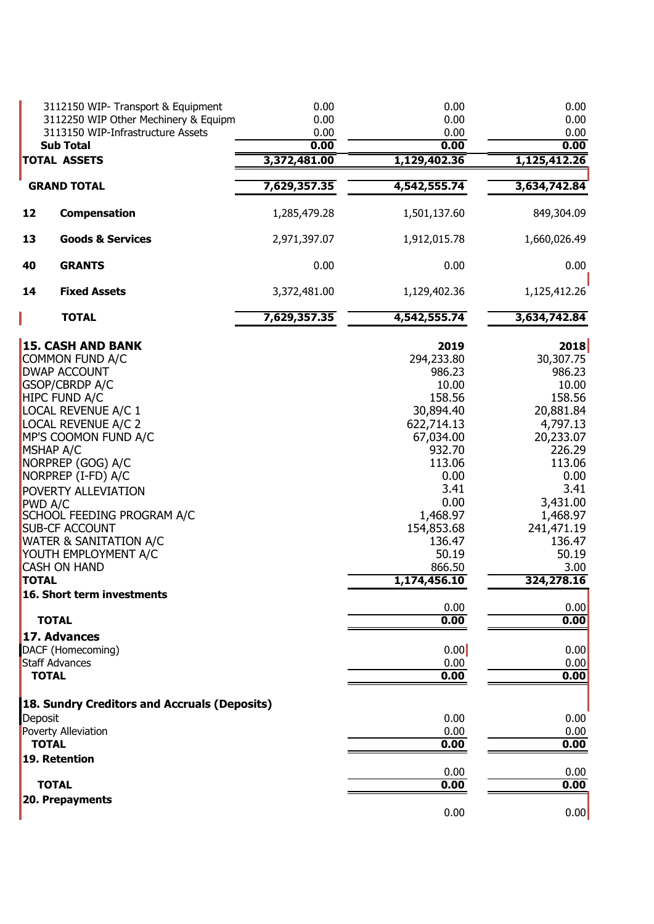|                                                                       | 3112150 WIP- Transport & Equipment<br>3112250 WIP Other Mechinery & Equipm<br>3113150 WIP-Infrastructure Assets<br><b>Sub Total</b>                                                                                                                                                                                                                                                                                  | 0.00<br>0.00<br>0.00<br>0.00 | 0.00<br>0.00<br>0.00<br>0.00                                                                                                                                                                               | 0.00<br>0.00<br>0.00<br>0.00                                                                                                                                                                            |
|-----------------------------------------------------------------------|----------------------------------------------------------------------------------------------------------------------------------------------------------------------------------------------------------------------------------------------------------------------------------------------------------------------------------------------------------------------------------------------------------------------|------------------------------|------------------------------------------------------------------------------------------------------------------------------------------------------------------------------------------------------------|---------------------------------------------------------------------------------------------------------------------------------------------------------------------------------------------------------|
|                                                                       | <b>TOTAL ASSETS</b>                                                                                                                                                                                                                                                                                                                                                                                                  | 3,372,481.00                 | 1,129,402.36                                                                                                                                                                                               | 1,125,412.26                                                                                                                                                                                            |
|                                                                       | <b>GRAND TOTAL</b>                                                                                                                                                                                                                                                                                                                                                                                                   | 7,629,357.35                 | 4,542,555.74                                                                                                                                                                                               | 3,634,742.84                                                                                                                                                                                            |
| 12                                                                    | Compensation                                                                                                                                                                                                                                                                                                                                                                                                         | 1,285,479.28                 | 1,501,137.60                                                                                                                                                                                               | 849,304.09                                                                                                                                                                                              |
| 13                                                                    | <b>Goods &amp; Services</b>                                                                                                                                                                                                                                                                                                                                                                                          | 2,971,397.07                 | 1,912,015.78                                                                                                                                                                                               | 1,660,026.49                                                                                                                                                                                            |
| 40                                                                    | <b>GRANTS</b>                                                                                                                                                                                                                                                                                                                                                                                                        | 0.00                         | 0.00                                                                                                                                                                                                       | 0.00                                                                                                                                                                                                    |
| 14                                                                    | <b>Fixed Assets</b>                                                                                                                                                                                                                                                                                                                                                                                                  | 3,372,481.00                 | 1,129,402.36                                                                                                                                                                                               | 1,125,412.26                                                                                                                                                                                            |
|                                                                       | <b>TOTAL</b>                                                                                                                                                                                                                                                                                                                                                                                                         | 7,629,357.35                 | 4,542,555.74                                                                                                                                                                                               | 3,634,742.84                                                                                                                                                                                            |
| <b>MSHAP A/C</b><br><b>PWD A/C</b><br><b>TOTAL</b>                    | <b>15. CASH AND BANK</b><br><b>COMMON FUND A/C</b><br><b>DWAP ACCOUNT</b><br><b>GSOP/CBRDP A/C</b><br><b>HIPC FUND A/C</b><br>LOCAL REVENUE A/C 1<br><b>LOCAL REVENUE A/C 2</b><br>MP'S COOMON FUND A/C<br>NORPREP (GOG) A/C<br>NORPREP (I-FD) A/C<br>POVERTY ALLEVIATION<br>SCHOOL FEEDING PROGRAM A/C<br><b>SUB-CF ACCOUNT</b><br><b>WATER &amp; SANITATION A/C</b><br>YOUTH EMPLOYMENT A/C<br><b>CASH ON HAND</b> |                              | 2019<br>294,233.80<br>986.23<br>10.00<br>158.56<br>30,894.40<br>622,714.13<br>67,034.00<br>932.70<br>113.06<br>0.00<br>3.41<br>0.00<br>1,468.97<br>154,853.68<br>136.47<br>50.19<br>866.50<br>1,174,456.10 | 2018<br>30,307.75<br>986.23<br>10.00<br>158.56<br>20,881.84<br>4,797.13<br>20,233.07<br>226.29<br>113.06<br>0.00<br>3.41<br>3,431.00<br>1,468.97<br>241,471.19<br>136.47<br>50.19<br>3.00<br>324,278.16 |
|                                                                       | 16. Short term investments                                                                                                                                                                                                                                                                                                                                                                                           |                              | 0.00                                                                                                                                                                                                       | 0.00                                                                                                                                                                                                    |
| <b>TOTAL</b><br>17. Advances<br><b>Staff Advances</b><br><b>TOTAL</b> | DACF (Homecoming)                                                                                                                                                                                                                                                                                                                                                                                                    |                              | 0.00<br>0.00<br>0.00<br>0.00                                                                                                                                                                               | 0.00<br>0.00<br>0.00<br>0.00                                                                                                                                                                            |
| Deposit<br><b>TOTAL</b><br>19. Retention                              | 18. Sundry Creditors and Accruals (Deposits)<br>Poverty Alleviation                                                                                                                                                                                                                                                                                                                                                  |                              | 0.00<br>0.00<br>0.00<br>0.00                                                                                                                                                                               | 0.00<br>0.00<br>0.00<br>0.00                                                                                                                                                                            |
| <b>TOTAL</b>                                                          | 20. Prepayments                                                                                                                                                                                                                                                                                                                                                                                                      |                              | 0.00                                                                                                                                                                                                       | 0.00                                                                                                                                                                                                    |
|                                                                       |                                                                                                                                                                                                                                                                                                                                                                                                                      |                              | 0.00                                                                                                                                                                                                       | 0.00                                                                                                                                                                                                    |